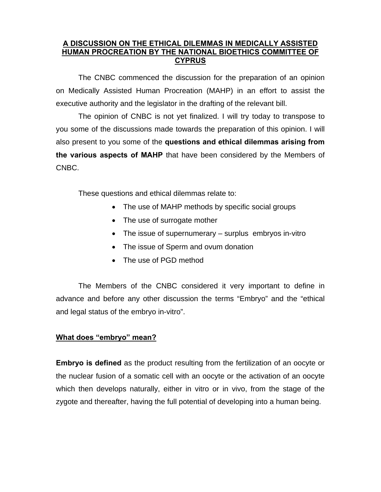#### **A DISCUSSION ON THE ETHICAL DILEMMAS IN MEDICALLY ASSISTED HUMAN PROCREATION ΒΥ THE NATIONAL BIOETHICS COMMITTEE OF CYPRUS**

The CNBC commenced the discussion for the preparation of an opinion on Medically Assisted Human Procreation (MAHP) in an effort to assist the executive authority and the legislator in the drafting of the relevant bill.

 The opinion of CNBC is not yet finalized. I will try today to transpose to you some of the discussions made towards the preparation of this opinion. I will also present to you some of the **questions and ethical dilemmas arising from the various aspects of MAHP** that have been considered by the Members of CNBC.

These questions and ethical dilemmas relate to:

- The use of MAHP methods by specific social groups
- The use of surrogate mother
- The issue of supernumerary surplus embryos in-vitro
- The issue of Sperm and ovum donation
- The use of PGD method

The Members of the CNBC considered it very important to define in advance and before any other discussion the terms "Embryo" and the "ethical and legal status of the embryo in-vitro".

#### **What does "embryo" mean?**

**Embryo is defined** as the product resulting from the fertilization of an oocyte or the nuclear fusion of a somatic cell with an oocyte or the activation of an oocyte which then develops naturally, either in vitro or in vivo, from the stage of the zygote and thereafter, having the full potential of developing into a human being.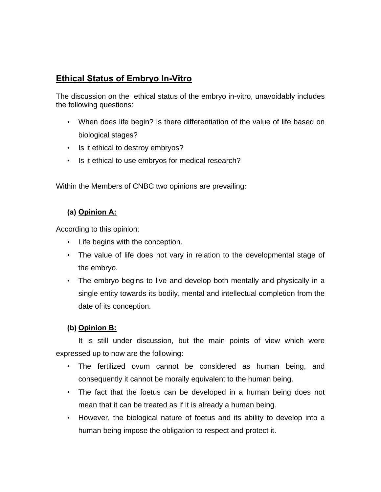## **Ethical Status of Embryo In-Vitro**

The discussion on the ethical status of the embryo in-vitro, unavoidably includes the following questions:

- When does life begin? Is there differentiation of the value of life based on biological stages?
- Is it ethical to destroy embryos?
- Is it ethical to use embryos for medical research?

Within the Members of CNBC two opinions are prevailing:

### **(a) Opinion A:**

According to this opinion:

- Life begins with the conception.
- The value of life does not vary in relation to the developmental stage of the embryo.
- The embryo begins to live and develop both mentally and physically in a single entity towards its bodily, mental and intellectual completion from the date of its conception.

### **(b) Opinion B:**

 It is still under discussion, but the main points of view which were expressed up to now are the following:

- The fertilized ovum cannot be considered as human being, and consequently it cannot be morally equivalent to the human being.
- The fact that the foetus can be developed in a human being does not mean that it can be treated as if it is already a human being.
- However, the biological nature of foetus and its ability to develop into a human being impose the obligation to respect and protect it.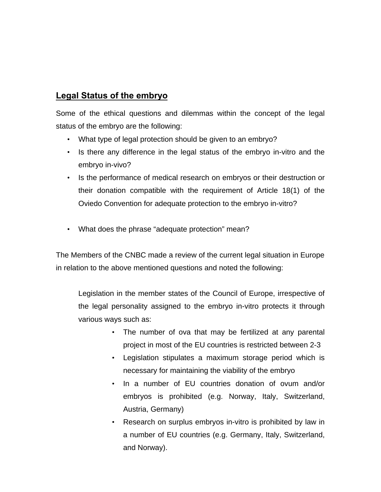### **Legal Status of the embryo**

Some of the ethical questions and dilemmas within the concept of the legal status of the embryo are the following:

- What type of legal protection should be given to an embryo?
- Is there any difference in the legal status of the embryo in-vitro and the embryo in-vivo?
- Is the performance of medical research on embryos or their destruction or their donation compatible with the requirement of Article 18(1) of the Oviedo Convention for adequate protection to the embryo in-vitro?
- What does the phrase "adequate protection" mean?

The Members of the CNBC made a review of the current legal situation in Europe in relation to the above mentioned questions and noted the following:

Legislation in the member states of the Council of Europe, irrespective of the legal personality assigned to the embryo in-vitro protects it through various ways such as:

- The number of ova that may be fertilized at any parental project in most of the EU countries is restricted between 2-3
- Legislation stipulates a maximum storage period which is necessary for maintaining the viability of the embryo
- In a number of EU countries donation of ovum and/or embryos is prohibited (e.g. Norway, Italy, Switzerland, Austria, Germany)
- Research on surplus embryos in-vitro is prohibited by law in a number of EU countries (e.g. Germany, Italy, Switzerland, and Norway).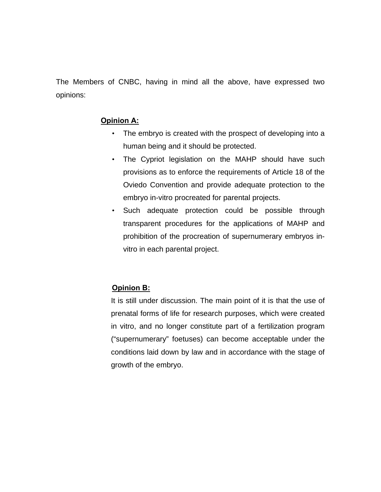The Members of CNBC, having in mind all the above, have expressed two opinions:

#### **Opinion A:**

- The embryo is created with the prospect of developing into a human being and it should be protected.
- The Cypriot legislation on the MAHP should have such provisions as to enforce the requirements of Article 18 of the Oviedo Convention and provide adequate protection to the embryo in-vitro procreated for parental projects.
- Such adequate protection could be possible through transparent procedures for the applications of MAHP and prohibition of the procreation of supernumerary embryos invitro in each parental project.

#### **Opinion B:**

It is still under discussion. The main point of it is that the use of prenatal forms of life for research purposes, which were created in vitro, and no longer constitute part of a fertilization program ("supernumerary" foetuses) can become acceptable under the conditions laid down by law and in accordance with the stage of growth of the embryo.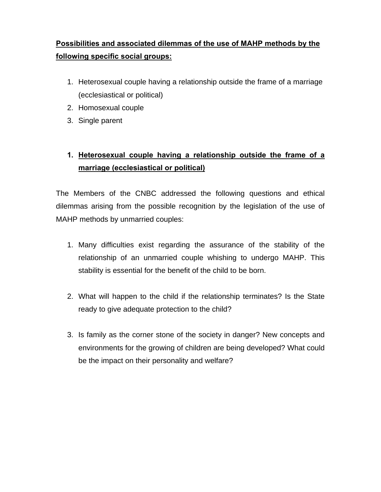# **Possibilities and associated dilemmas of the use of MAHP methods by the following specific social groups:**

- 1. Heterosexual couple having a relationship outside the frame of a marriage (ecclesiastical or political)
- 2. Homosexual couple
- 3. Single parent

# **1. Heterosexual couple having a relationship outside the frame of a marriage (ecclesiastical or political)**

The Members of the CNBC addressed the following questions and ethical dilemmas arising from the possible recognition by the legislation of the use of MAHP methods by unmarried couples:

- 1. Many difficulties exist regarding the assurance of the stability of the relationship of an unmarried couple whishing to undergo MAHP. This stability is essential for the benefit of the child to be born.
- 2. What will happen to the child if the relationship terminates? Is the State ready to give adequate protection to the child?
- 3. Is family as the corner stone of the society in danger? New concepts and environments for the growing of children are being developed? What could be the impact on their personality and welfare?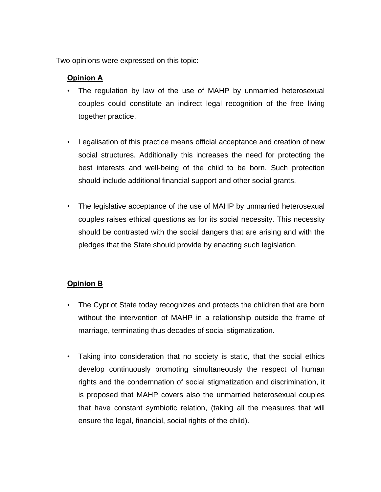Two opinions were expressed on this topic:

#### **Opinion A**

- The regulation by law of the use of MAHP by unmarried heterosexual couples could constitute an indirect legal recognition of the free living together practice.
- Legalisation of this practice means official acceptance and creation of new social structures. Additionally this increases the need for protecting the best interests and well-being of the child to be born. Such protection should include additional financial support and other social grants.
- The legislative acceptance of the use of MAHP by unmarried heterosexual couples raises ethical questions as for its social necessity. This necessity should be contrasted with the social dangers that are arising and with the pledges that the State should provide by enacting such legislation.

#### **Opinion B**

- The Cypriot State today recognizes and protects the children that are born without the intervention of MAHP in a relationship outside the frame of marriage, terminating thus decades of social stigmatization.
- Taking into consideration that no society is static, that the social ethics develop continuously promoting simultaneously the respect of human rights and the condemnation of social stigmatization and discrimination, it is proposed that MAHP covers also the unmarried heterosexual couples that have constant symbiotic relation, (taking all the measures that will ensure the legal, financial, social rights of the child).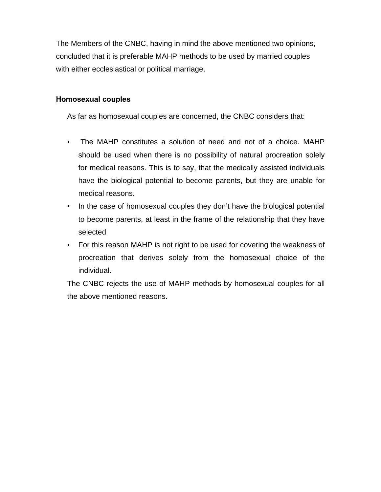The Members of the CNBC, having in mind the above mentioned two opinions, concluded that it is preferable MAHP methods to be used by married couples with either ecclesiastical or political marriage.

#### **Homosexual couples**

As far as homosexual couples are concerned, the CNBC considers that:

- The MAHP constitutes a solution of need and not of a choice. MAHP should be used when there is no possibility of natural procreation solely for medical reasons. This is to say, that the medically assisted individuals have the biological potential to become parents, but they are unable for medical reasons.
- In the case of homosexual couples they don't have the biological potential to become parents, at least in the frame of the relationship that they have selected
- For this reason MAHP is not right to be used for covering the weakness of procreation that derives solely from the homosexual choice of the individual.

The CNBC rejects the use of MAHP methods by homosexual couples for all the above mentioned reasons.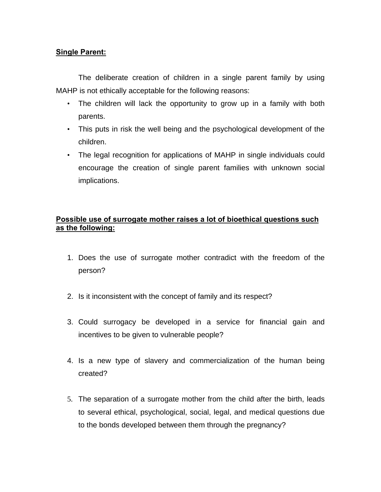#### **Single Parent:**

 The deliberate creation of children in a single parent family by using MAHP is not ethically acceptable for the following reasons:

- The children will lack the opportunity to grow up in a family with both parents.
- This puts in risk the well being and the psychological development of the children.
- The legal recognition for applications of MAHP in single individuals could encourage the creation of single parent families with unknown social implications.

#### **Possible use of surrogate mother raises a lot of bioethical questions such as the following:**

- 1. Does the use of surrogate mother contradict with the freedom of the person?
- 2. Is it inconsistent with the concept of family and its respect?
- 3. Could surrogacy be developed in a service for financial gain and incentives to be given to vulnerable people?
- 4. Is a new type of slavery and commercialization of the human being created?
- 5. The separation of a surrogate mother from the child after the birth, leads to several ethical, psychological, social, legal, and medical questions due to the bonds developed between them through the pregnancy?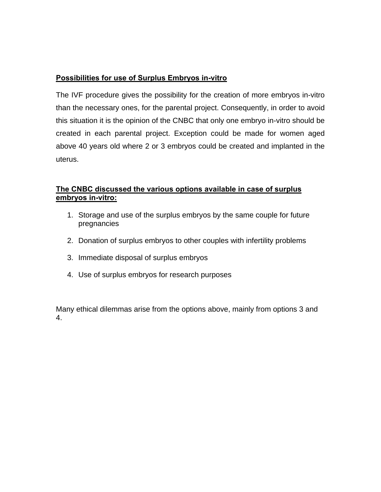#### **Possibilities for use of Surplus Embryos in-vitro**

The IVF procedure gives the possibility for the creation of more embryos in-vitro than the necessary ones, for the parental project. Consequently, in order to avoid this situation it is the opinion of the CNBC that only one embryo in-vitro should be created in each parental project. Exception could be made for women aged above 40 years old where 2 or 3 embryos could be created and implanted in the uterus.

#### **The CNBC discussed the various options available in case of surplus embryos in-vitro:**

- 1. Storage and use of the surplus embryos by the same couple for future pregnancies
- 2. Donation of surplus embryos to other couples with infertility problems
- 3. Immediate disposal of surplus embryos
- 4. Use of surplus embryos for research purposes

Many ethical dilemmas arise from the options above, mainly from options 3 and 4.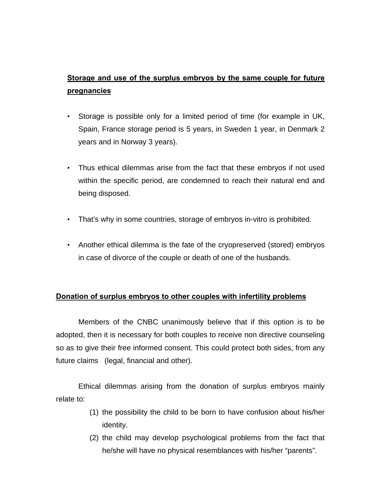## **Storage and use of the surplus embryos by the same couple for future pregnancies**

- Storage is possible only for a limited period of time (for example in UK, Spain, France storage period is 5 years, in Sweden 1 year, in Denmark 2 years and in Norway 3 years).
- Thus ethical dilemmas arise from the fact that these embryos if not used within the specific period, are condemned to reach their natural end and being disposed.
- That's why in some countries, storage of embryos in-vitro is prohibited.
- Another ethical dilemma is the fate of the cryopreserved (stored) embryos in case of divorce of the couple or death of one of the husbands.

#### **Donation of surplus embryos to other couples with infertility problems**

 Members of the CNBC unanimously believe that if this option is to be adopted, then it is necessary for both couples to receive non directive counseling so as to give their free informed consent. This could protect both sides, from any future claims (legal, financial and other).

 Ethical dilemmas arising from the donation of surplus embryos mainly relate to:

- (1) the possibility the child to be born to have confusion about his/her identity.
- (2) the child may develop psychological problems from the fact that he/she will have no physical resemblances with his/her "parents".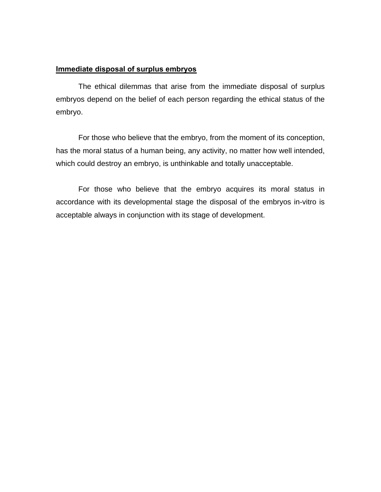#### **Immediate disposal of surplus embryos**

 The ethical dilemmas that arise from the immediate disposal of surplus embryos depend on the belief of each person regarding the ethical status of the embryo.

 For those who believe that the embryo, from the moment of its conception, has the moral status of a human being, any activity, no matter how well intended, which could destroy an embryo, is unthinkable and totally unacceptable.

 For those who believe that the embryo acquires its moral status in accordance with its developmental stage the disposal of the embryos in-vitro is acceptable always in conjunction with its stage of development.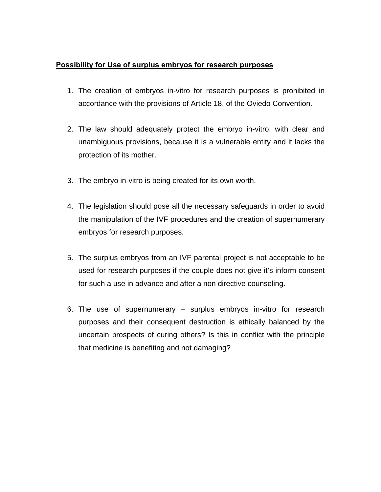#### **Possibility for Use of surplus embryos for research purposes**

- 1. The creation of embryos in-vitro for research purposes is prohibited in accordance with the provisions of Article 18, of the Oviedo Convention.
- 2. The law should adequately protect the embryo in-vitro, with clear and unambiguous provisions, because it is a vulnerable entity and it lacks the protection of its mother.
- 3. The embryo in-vitro is being created for its own worth.
- 4. The legislation should pose all the necessary safeguards in order to avoid the manipulation of the IVF procedures and the creation of supernumerary embryos for research purposes.
- 5. The surplus embryos from an IVF parental project is not acceptable to be used for research purposes if the couple does not give it's inform consent for such a use in advance and after a non directive counseling.
- 6. The use of supernumerary surplus embryos in-vitro for research purposes and their consequent destruction is ethically balanced by the uncertain prospects of curing others? Is this in conflict with the principle that medicine is benefiting and not damaging?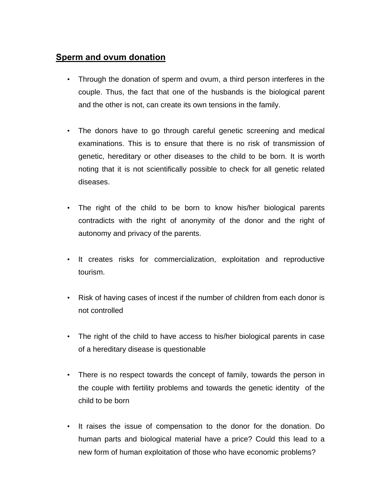### **Sperm and ovum donation**

- Through the donation of sperm and ovum, a third person interferes in the couple. Thus, the fact that one of the husbands is the biological parent and the other is not, can create its own tensions in the family.
- The donors have to go through careful genetic screening and medical examinations. This is to ensure that there is no risk of transmission of genetic, hereditary or other diseases to the child to be born. It is worth noting that it is not scientifically possible to check for all genetic related diseases.
- The right of the child to be born to know his/her biological parents contradicts with the right of anonymity of the donor and the right of autonomy and privacy of the parents.
- It creates risks for commercialization, exploitation and reproductive tourism.
- Risk of having cases of incest if the number of children from each donor is not controlled
- The right of the child to have access to his/her biological parents in case of a hereditary disease is questionable
- There is no respect towards the concept of family, towards the person in the couple with fertility problems and towards the genetic identity of the child to be born
- It raises the issue of compensation to the donor for the donation. Do human parts and biological material have a price? Could this lead to a new form of human exploitation of those who have economic problems?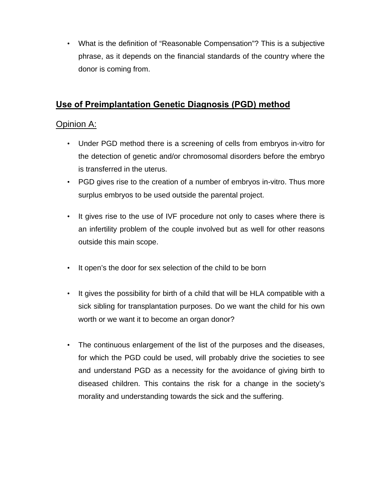• What is the definition of "Reasonable Compensation"? This is a subjective phrase, as it depends on the financial standards of the country where the donor is coming from.

## **Use of Preimplantation Genetic Diagnosis (PGD) method**

### Opinion A:

- Under PGD method there is a screening of cells from embryos in-vitro for the detection of genetic and/or chromosomal disorders before the embryo is transferred in the uterus.
- PGD gives rise to the creation of a number of embryos in-vitro. Thus more surplus embryos to be used outside the parental project.
- It gives rise to the use of IVF procedure not only to cases where there is an infertility problem of the couple involved but as well for other reasons outside this main scope.
- It open's the door for sex selection of the child to be born
- It gives the possibility for birth of a child that will be HLA compatible with a sick sibling for transplantation purposes. Do we want the child for his own worth or we want it to become an organ donor?
- The continuous enlargement of the list of the purposes and the diseases, for which the PGD could be used, will probably drive the societies to see and understand PGD as a necessity for the avoidance of giving birth to diseased children. This contains the risk for a change in the society's morality and understanding towards the sick and the suffering.